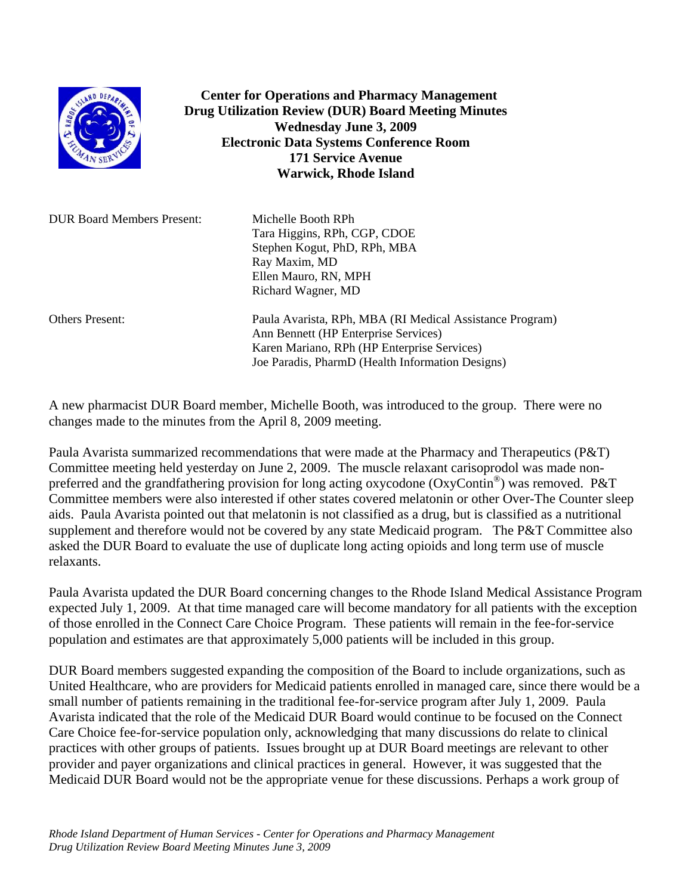

 **Center for Operations and Pharmacy Management Drug Utilization Review (DUR) Board Meeting Minutes Wednesday June 3, 2009 Electronic Data Systems Conference Room 171 Service Avenue Warwick, Rhode Island** 

| <b>DUR Board Members Present:</b> | Michelle Booth RPh<br>Tara Higgins, RPh, CGP, CDOE<br>Stephen Kogut, PhD, RPh, MBA<br>Ray Maxim, MD<br>Ellen Mauro, RN, MPH<br>Richard Wagner, MD |
|-----------------------------------|---------------------------------------------------------------------------------------------------------------------------------------------------|
| <b>Others Present:</b>            | Paula Avarista, RPh, MBA (RI Medical Assistance Program)<br>Ann Bennett (HP Enterprise Services)<br>Karen Mariano, RPh (HP Enterprise Services)   |

A new pharmacist DUR Board member, Michelle Booth, was introduced to the group. There were no changes made to the minutes from the April 8, 2009 meeting.

Joe Paradis, PharmD (Health Information Designs)

Paula Avarista summarized recommendations that were made at the Pharmacy and Therapeutics (P&T) Committee meeting held yesterday on June 2, 2009. The muscle relaxant carisoprodol was made nonpreferred and the grandfathering provision for long acting oxycodone (OxyContin<sup>®</sup>) was removed. P&T Committee members were also interested if other states covered melatonin or other Over-The Counter sleep aids. Paula Avarista pointed out that melatonin is not classified as a drug, but is classified as a nutritional supplement and therefore would not be covered by any state Medicaid program. The P&T Committee also asked the DUR Board to evaluate the use of duplicate long acting opioids and long term use of muscle relaxants.

Paula Avarista updated the DUR Board concerning changes to the Rhode Island Medical Assistance Program expected July 1, 2009. At that time managed care will become mandatory for all patients with the exception of those enrolled in the Connect Care Choice Program. These patients will remain in the fee-for-service population and estimates are that approximately 5,000 patients will be included in this group.

DUR Board members suggested expanding the composition of the Board to include organizations, such as United Healthcare, who are providers for Medicaid patients enrolled in managed care, since there would be a small number of patients remaining in the traditional fee-for-service program after July 1, 2009. Paula Avarista indicated that the role of the Medicaid DUR Board would continue to be focused on the Connect Care Choice fee-for-service population only, acknowledging that many discussions do relate to clinical practices with other groups of patients. Issues brought up at DUR Board meetings are relevant to other provider and payer organizations and clinical practices in general. However, it was suggested that the Medicaid DUR Board would not be the appropriate venue for these discussions. Perhaps a work group of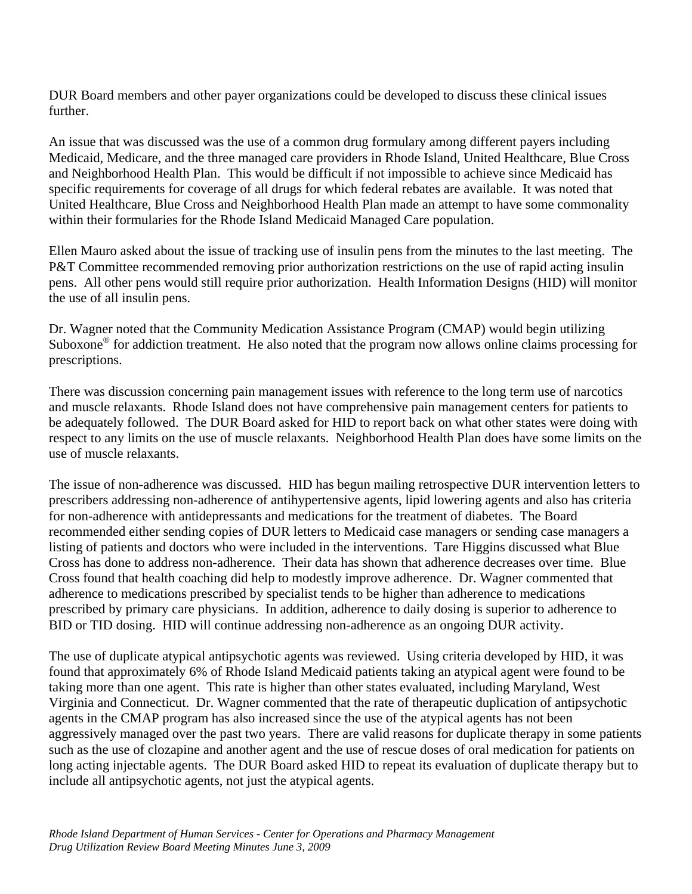DUR Board members and other payer organizations could be developed to discuss these clinical issues further.

An issue that was discussed was the use of a common drug formulary among different payers including Medicaid, Medicare, and the three managed care providers in Rhode Island, United Healthcare, Blue Cross and Neighborhood Health Plan. This would be difficult if not impossible to achieve since Medicaid has specific requirements for coverage of all drugs for which federal rebates are available. It was noted that United Healthcare, Blue Cross and Neighborhood Health Plan made an attempt to have some commonality within their formularies for the Rhode Island Medicaid Managed Care population.

Ellen Mauro asked about the issue of tracking use of insulin pens from the minutes to the last meeting. The P&T Committee recommended removing prior authorization restrictions on the use of rapid acting insulin pens. All other pens would still require prior authorization. Health Information Designs (HID) will monitor the use of all insulin pens.

Dr. Wagner noted that the Community Medication Assistance Program (CMAP) would begin utilizing Suboxone® for addiction treatment. He also noted that the program now allows online claims processing for prescriptions.

There was discussion concerning pain management issues with reference to the long term use of narcotics and muscle relaxants. Rhode Island does not have comprehensive pain management centers for patients to be adequately followed. The DUR Board asked for HID to report back on what other states were doing with respect to any limits on the use of muscle relaxants. Neighborhood Health Plan does have some limits on the use of muscle relaxants.

The issue of non-adherence was discussed. HID has begun mailing retrospective DUR intervention letters to prescribers addressing non-adherence of antihypertensive agents, lipid lowering agents and also has criteria for non-adherence with antidepressants and medications for the treatment of diabetes. The Board recommended either sending copies of DUR letters to Medicaid case managers or sending case managers a listing of patients and doctors who were included in the interventions. Tare Higgins discussed what Blue Cross has done to address non-adherence. Their data has shown that adherence decreases over time. Blue Cross found that health coaching did help to modestly improve adherence. Dr. Wagner commented that adherence to medications prescribed by specialist tends to be higher than adherence to medications prescribed by primary care physicians. In addition, adherence to daily dosing is superior to adherence to BID or TID dosing. HID will continue addressing non-adherence as an ongoing DUR activity.

The use of duplicate atypical antipsychotic agents was reviewed. Using criteria developed by HID, it was found that approximately 6% of Rhode Island Medicaid patients taking an atypical agent were found to be taking more than one agent. This rate is higher than other states evaluated, including Maryland, West Virginia and Connecticut. Dr. Wagner commented that the rate of therapeutic duplication of antipsychotic agents in the CMAP program has also increased since the use of the atypical agents has not been aggressively managed over the past two years. There are valid reasons for duplicate therapy in some patients such as the use of clozapine and another agent and the use of rescue doses of oral medication for patients on long acting injectable agents. The DUR Board asked HID to repeat its evaluation of duplicate therapy but to include all antipsychotic agents, not just the atypical agents.